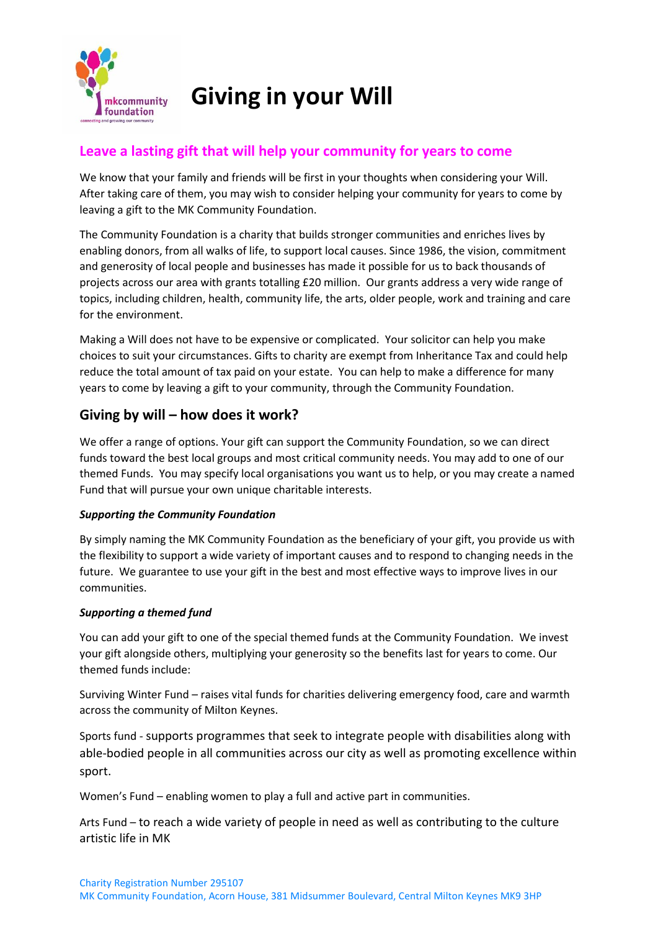

# **Giving in your Will**

## **Leave a lasting gift that will help your community for years to come**

We know that your family and friends will be first in your thoughts when considering your Will. After taking care of them, you may wish to consider helping your community for years to come by leaving a gift to the MK Community Foundation.

The Community Foundation is a charity that builds stronger communities and enriches lives by enabling donors, from all walks of life, to support local causes. Since 1986, the vision, commitment and generosity of local people and businesses has made it possible for us to back thousands of projects across our area with grants totalling £20 million. Our grants address a very wide range of topics, including children, health, community life, the arts, older people, work and training and care for the environment.

Making a Will does not have to be expensive or complicated. Your solicitor can help you make choices to suit your circumstances. Gifts to charity are exempt from Inheritance Tax and could help reduce the total amount of tax paid on your estate. You can help to make a difference for many years to come by leaving a gift to your community, through the Community Foundation.

# **Giving by will – how does it work?**

We offer a range of options. Your gift can support the Community Foundation, so we can direct funds toward the best local groups and most critical community needs. You may add to one of our themed Funds. You may specify local organisations you want us to help, or you may create a named Fund that will pursue your own unique charitable interests.

#### *Supporting the Community Foundation*

By simply naming the MK Community Foundation as the beneficiary of your gift, you provide us with the flexibility to support a wide variety of important causes and to respond to changing needs in the future. We guarantee to use your gift in the best and most effective ways to improve lives in our communities.

#### *Supporting a themed fund*

You can add your gift to one of the special themed funds at the Community Foundation. We invest your gift alongside others, multiplying your generosity so the benefits last for years to come. Our themed funds include:

Surviving Winter Fund – raises vital funds for charities delivering emergency food, care and warmth across the community of Milton Keynes.

Sports fund - supports programmes that seek to integrate people with disabilities along with able-bodied people in all communities across our city as well as promoting excellence within sport.

Women's Fund – enabling women to play a full and active part in communities.

Arts Fund – to reach a wide variety of people in need as well as contributing to the culture artistic life in MK